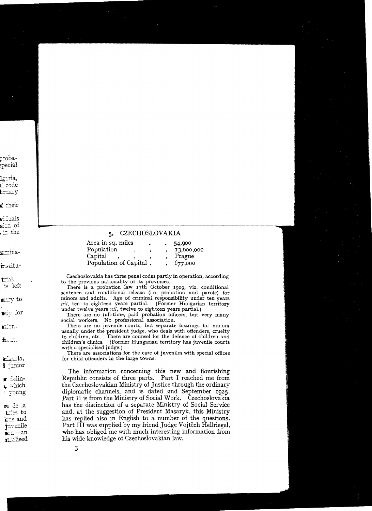#### **CZECHOSLOVAKIA**  $5.$

| Area in sq. miles          |  | 54,900     |
|----------------------------|--|------------|
| $\footnotesize$ Population |  | 13,600,000 |
| Capital                    |  | Prague     |
| Population of Capital.     |  | 677,000    |

Czechoslovakia has three penal codes partly in operation, according to the previous nationality of its provinces.

There is a probation law 17th October 1919, viz. conditional sentence and conditional release (i.e. probation and parole) for minors and adults. Age of criminal responsibility under ten years nil, ten to eighteen years partial. (Former Hungarian territory under twelve years nil, twelve to eighteen years partial.)

There are no full-time, paid probation officers, but very many social workers. No professional association,

There are no juvenile courts, but separate hearings for minors usually under the president judge, who deals with offenders, cruelty to children, etc. There are counsel for the defence of children and children's clinics. (Former Hungarian territory has juvenile courts) with a specialised judge.)

There are associations for the care of juveniles with special offices for child offenders in the large towns.

The information concerning this new and flourishing Republic consists of three parts. Part I reached me from the Czechoslovakian Ministry of Justice through the ordinary diplomatic channels, and is dated 2nd September 1925. Part II is from the Ministry of Social Work. Czechoslovakia has the distinction of a separate Ministry of Social Service and, at the suggestion of President Masaryk, this Ministry has replied also in English to a number of the questions. Part III was supplied by my friend Judge Vojtěch Hellriegel, who has obliged me with much interesting information from his wide knowledge of Czechoslovakian law.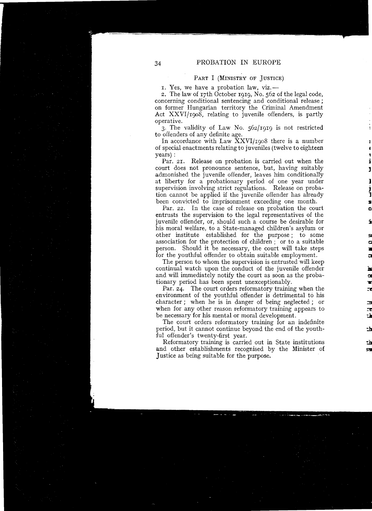# PART I (MINISTRY OF JUSTICE)

I. Yes, we have a probation law, viz.

2. The law of I7th October 1919, No. 562 of the legal code, concerning conditional sentencing and conditional release; on former Hungarian territory the Criminal Amendment Act XXVI/1908, relating to juvenile offenders, is partly operative.

3. The validity of Law No. 562/I9I9 is not restricted to offenders of any definite age.

In accordance with Law XXVI/1908 there is a number of special enactments relating to juveniles (twelve to eighteen years) :

Par. 21. Release on probation is carried out when the court does not pronounee sentence, but, having suitably 1 admonished the juvenile offender, leaves him conditionally at liberty for a probationary period of one year under supervision involving strict regulations. Release on proba t i skrivet i skrivet.<br>Jeografia tion cannot be applied if the juvenile of fender has already been convicted to imprisonment exceeding one month.

Par. 22. In the case of release on probation the court entrusts the supervision to the legal representatives of the juvenile offender, or, should such a course be desirabie for i his moral welfare, to a State-managed children's asylurn or other institute established for the purpose; to some association for the protection of children; or to a suitable person. Should it be necessary, the court will take steps 11 for the youthful offender to obtain suitable employment.

The person to whom the supervision is entrusted will keep continual watch upon the conduct of the juvenile offender and will immediately notify the court as soon as the probationary period has been spent unexceptionably.

Par. 24. The court orders reformatory training when the environment of the youthful offender is detrimental tó his character; when he is in danger of being neglected; or when for any other reason reformatory training appears to be necessary for his mental or moral development.

The court orders reformatory training for an indefinite period, but it cannot continue beyond the end of the youthful offender's twenty-first year.

Reformatory training is carried out in State institutions and other establishments recognised by the Minister of Justice as being suitable for the purpose.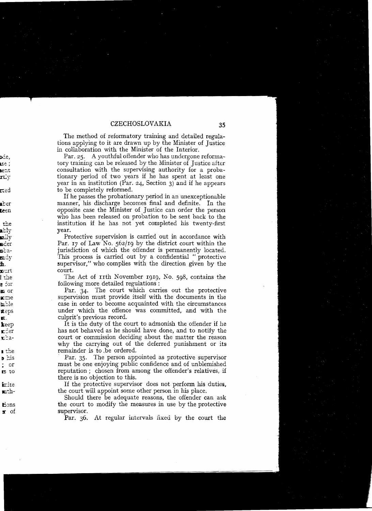The method of reformatory training and detailed regulations applying to it are drawn up by the Minister of Justice in collaboration with the Minister of the Interior.

Par. 25. A youthful offender who has undergone reformatory training can be released by the Minister of Justice after consultation with the supervising authority for a probationary period of two years if he has spent at least one year in an institution (Par. 24, Section 3) and if he appears to be completely reformed.

If he passes the probationary period in an unexceptionable manner, his discharge becomes final and definite. In the opposite case the Minister of Justice can order the person who has been released on probation to be sent back to the institution if he has not yet completed his twenty-first year.

Protective supervision is carried out in accordance with Par. 17 of Law No.  $562/19$  by the district court within the jurisdiction of which the offender is permanently located. This process is carried out by a confidential "protective supervisor," who complies with the direction given by the court.

The Act of IIth November 1919, No. 598, contains the following more detailed regulations :

Par. 34. The court which carries out the protective supervision must provide itself with the documents in the case in order to become acquainted with the circumstances under which the offence was committed, and with the culprit's previous record.

It is the duty of the court to admonish the offender if he has not behaved as he should have done, and to notify the court or commission deciding about the matter the reason why the carrying out of the deferred punishment or its **<sup>I</sup>tne** remainder is to .be ordered.

Par. 35. The person appointed as protective supervisor must be one enjoying public confidence and of unblemished reputation; chosen from among the offender's relatives, if there is no objection to this.

If the protective supervisor does not perform his duties, the court will appoint some other person in his place.

Should there be adequate reasons, the offender can ask the court to modify the measures in use by the protective supervisor.

Par. 36. At regular intervals fixed by the court the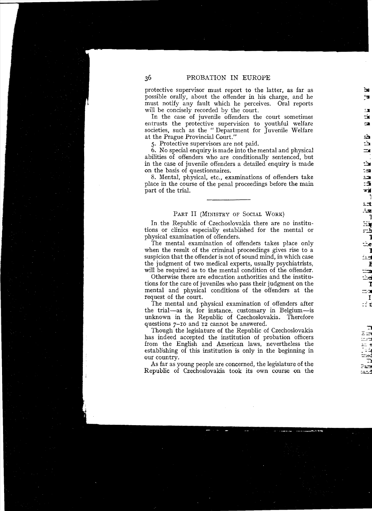protective supervisor must report to the latter, as far as possible orally, about the offender in his charge, and he must notify any fault which he perceives. Oral reports must notify any fault which he perceives. will be concisely recorded by the court.

In the case of juvenile offenders the court sometimes entrusts the protective supervision to youthful welfare societies, such as the "Department for Juvenile Welfare at the Prague Provincial Court."

5. Protective supervisors are not paid.

6. No special enquiry is made into the mental and physical abilities of offenders who are conditionally senteneed, but in the case of juvenile of fenders a detailed enquiry is made on the basis of questionnaires.

8. Mental, physical, etc., examinations of offenders take place in the course of the penal proceedings before the main part of the trial.

# PART II (MINISTRY OF SOCIAL WORK)

In the Republic of Czechoslovakia there are no institutions or clinics especially established for the mental or physical examination of offenders. 1

The mental examination of offenders takes place only when the result of the criminal proceedings gives rise to a suspicion that the offender is not of sound mind, in which case the judgment of two medical experts, usually psychiatrists, will be required as to the mental condition of the offender.

Otherwise there are education authorities and the institutions for the care of juveniles who pass their judgment on the 1 mental and physical conditions of the offenders at the request of the court.

The mental and physical examination of offenders after the trial-as is, for instance, customary in Belgium-is unknown in the Republic of Czechoslovakia. Thereforc questions 7-IO and 12 cannot be answered.

Though the legislature of the Republic of Czechoslovakia has indeed accepted the institution of probation officers from the English and American laws, nevertheless thc establishing of this institution is only in the beginning in our country.

As far as young people are concerned, the legislature of the Republic of Czechoslovakia took its own course on the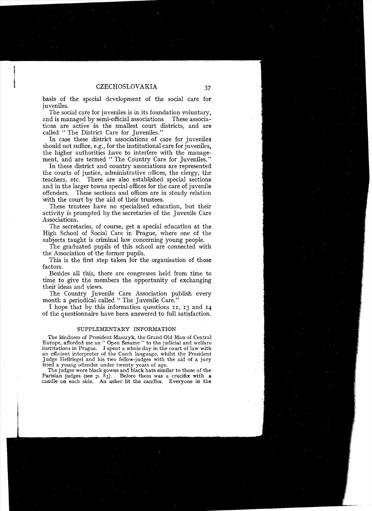basis of the special development of the social care for juveniles.

The social care for juveniles is in its foundation voluntary, and is managed by semi-official associations, These associations are active in the smallest court districts, and are called "The District Care for Tuveniles."

In case these district associations of care for juveniles should not suffice, e.g., for the institutional care for juveniles, the higher authorities have to interfere with the management, and are termed " The Country Care for Juveniles."

In these district and country associations are represented the courts of justice, administrative offices, the clergy, the teachers, etc. There are also established special sections and in the larger towns special offices for the care of juvenile offenders. These sections and offices are in steady relation with the court by the aid of their trustees.

These trustees have no specialised education, but their activity is prompted by the secretaries of the Juvenile Care Associations.

The secretaries, of course, get a special education at the High School of Social Care in Prague, where one of the subjects taught is criminal law concerning young people.

The graduated pupils of this school are connected with the Association of the former pupils.

This is the first step taken for the organisation of those factors.

Besides all this, there are congresses held from time to time to give the members the opportunity of exchanging their ideas and views.

The Country Juvenile Care Association publish every month a periodical called " The Juvenile Care."

I hope that by this information questions 11, 13 and 14 of the questionnaire have been answered to full satisfaction.

#### SUPPLEMENTARY INFORMATION

The kindness of President Masarvk, the Grand Old Man of Central Europe, afforded me an " Open Sesame " to the judicial and welfare institutions in Prague. I spent a whole day in the court of law with an efficient interpreter of the Czech language, whilst the President ]udge HeIlriegel and his two fellow-judges with the aid of a jury tried a young offender under twenty years of age.

The judges wore black gowns and black hats similar to those of the Parisian judges (see  $p. 83$ ). Before them was a crucifix with a candle on each side. An usher lit the candles. Everyone in the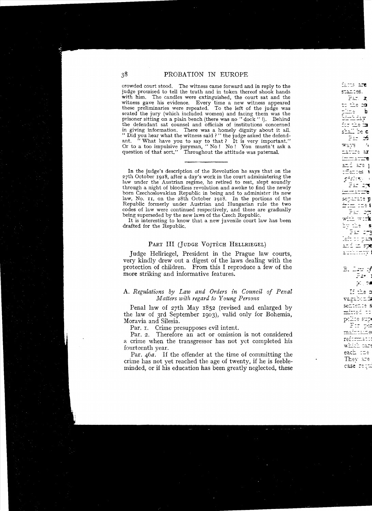erowded eourt stood. The witness came forward and in reply to the judge promised to tell the truth and in token thereof shook hands with him. The candles were extinguished, the court sat and the witness gave his evidenee. Every time a new witness appeared these preliminaries were repeated. To the left of the judge was seated the jury (whieh included women) and facing them was the prisoner sitting on a plain beneh (there was no " doek" I). Behind the defendant sat counsel and officials of institutions concerned in giving information. There was a homely dignity about it all. .. Did you hear what the witness said ? " the judge asked the defendant. "What have you to say to that? It is very important." Or to a too impulsive juryman, " No! No! You mustn't ask a question of that sort," Throughout the attitude was paternal.

In the judge's description of the Revolution he says that on the 27th October I918, after a day's work in the court administering the law under the Austrian regime, he retired to rest, slept soundly through a night of bloodless revolution and awoke to find the newly bom Czechoslovakian Republic in being and to administer its new law, No. II, on the 28th October 1918. In the portions of the Republic formerly under Austrian and Hungarian rule the two codes of law were continued respectively, and these are gradually being superseded by the new laws of the Czech Republic.

It is interesting to know that a new juvenile court law has been drafted for the Republie.

# PART III (JUDGE VOJTĚCH HELLRIEGEL)

Judge Hellriegel, President in the Prague law courts, very kindly drew out a digest of the laws dealing with the protection of children. From this I reproduce a few of the more striking and informative features.

#### A. Regulations by Law and Orders in Council of Penal *Matters with regard to Young Persons*

Penal law of 27th May r852 (revised and enlarged by the law of 3rd September 1903), valid only for Bohemia, Moravia and Silesia.

Par.  $\tau$ . Crime presupposes evil intent.

Par. 2. Therefore an act or omission is not considered a crime when the transgressor has not yet completed his fourteenth year.

Par. 46*a*. If the offender at the time of committing the crime has not yet reached the age of twenty, if he is feebleminded, or if his education has been greatly neglected, these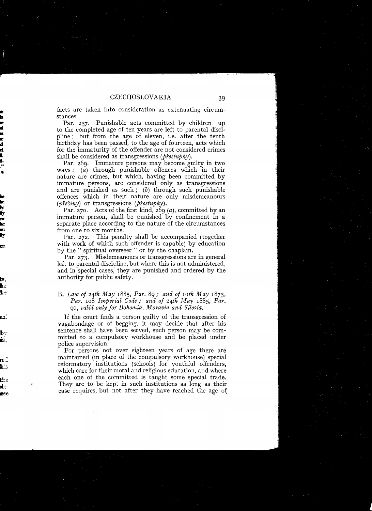facts are taken into consideration as extenuating circumstances.

Par. 237. Punishable acts committed by children up to the completed age of ten years are left to parental discipline; but from the age of eleven, i.e. after the tenth birthday has been passed, to the age of fourteen, acts which for the immaturity of the offender are not considered crimes shall be considered as transgressions *(prestupky)*.

Par. 269. Immature persons may become guilty in two ways: (a) through punishable offences which in their nature are crimes, but which, having been committed by immature persons, are considered only as transgressions and are punished as such; (b) through such punishable offences which in their nature are only misdemeanours *(břečiny)* or transgressions *(přestupky)*.

Par. 270. Acts of the first kind, 269  $(a)$ , committed by an immature person, shall be punished by confinement in a separate place according to the nature of the circumstances from one to six months.

Par. 272. This penalty shall be accompanied (together with work of which such offender is capable) by education by the " spiritual overseer" or by the chaplain.

Par. 273. Misdemeanours or transgressions are in general left to parental discipline, but where this is not administered, and in special cases, they are punished and ordered by the authority for public safety.

### **B.** *Law of 24th May* r885, *Par.* 89; *and of roth May* r873, *Par.* r08 *lmperial Code* " *and of 24h May* r885, *Par. 90, valid only for Bohemia, Moravia and Silesia.*

If the court finds a person guilty of the transgression of vagabondage or of begging, it may decide that after his sentence shall have been served, such person may be committed to a compulsory workhouse and be placed under police supervision.

For persons not over eighteen years of age there are maintained (in place of the compulsory workhouse) special reformatory institutions (schools) for youthful offenders, which care for their moral and religious education, and where each one of the committed is taught some special trade. They are to be kept in such institutions as long as their case requires, but not after they have reached the age of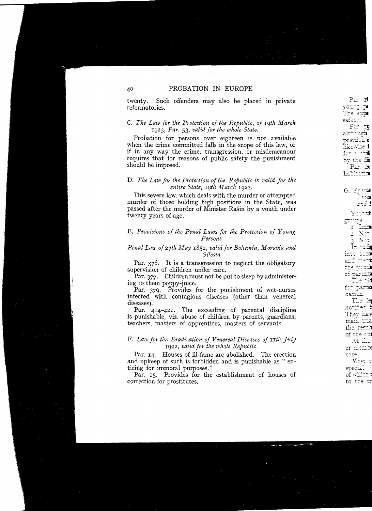twenty. Such offenders may also be placed in private reformatories.

#### C. The Law for the Protection of the Republic, of 19th March 1923, Par. 53, valid for the whole State.

Probation for persons over eighteen is not available when the crime committed falls in the scope of this law, or if in any way the crime, transgression, or misdemeanour requires that for reasons of public safety the punishment should be imposed.

#### D. The Law for the Protection of the Republic is valid for the entire State, 19th March 1923.

This severe law, which deals with the murder or attempted murder of those holding high positions in the State, was passed after the murder of Minister Rašin by a youth under twenty years of age.

#### E. Provisions of the Penal Laws for the Protection of Young Persons

# Penal Law of 27th May 1852, valid for Bohemia, Moravia and Silesia

Par. 376. It is a transgression to neglect the obligatory supervision of children under care.

Par. 377. Children must not be put to sleep by administering to them poppy-juice.

Par. 379. Provides for the punishment of wet-nurses infected with contagious diseases (other than venereal diseases).

Par. 414-421. The exceeding of parental discipline is punishable, viz. abuse of children by parents, guardians, teachers, masters of apprentices, masters of servants.

#### F. Law for the Eradication of Venereal Diseases of 11th July 1922, valid for the whole Republic.

Par. 14. Houses of ill-fame are abolished. The erection and upkeep of such is forbidden and is punishable as "enticing for immoral purposes."

Par. 15. Provides for the establishment of houses of correction for prostitutes,

40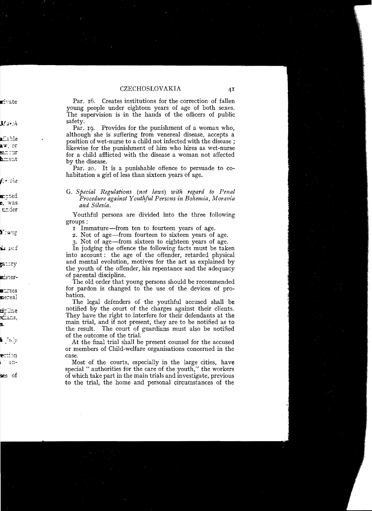Par. 16. Creates institutions for the correction of fallen voung people under eighteen vears of age of both sexes. The supervision is in the hands of the officers of public safety.

Par. 10. Provides for the punishment of a woman who. although she is suffering from venereal disease, accepts a position of wet-nurse to a child not infected with the disease ; likewise for the punishment of him who hires as wet-nurse for a child afflicted with the disease a woman not affected by the disease.

Par. 20. It is a punishable offence to persuade to cohabitation a girl of less than sixteen years of age.

Youthful persons are divided into the three following groups:

I Immature—from ten to fourteen years of age.

2. Not of age-from fourteen to sixteen vears of age.

3. Not of age—from sixteen to eighteen years of age.

In judging the offence the following facts must be taken into account: the age of the offender, retarded physical and mental evolution, motives for the act as explained by the youth of the offender, his repentance and the adequacy of parental discipline.

The old order that young persons should be recommended for pardon is changed to the use of the devices of probation.

The legal defenders of the youthful accused shall be notified by the court of the charges against their clients. They have the right to interfere for their defendants at the main trial, and if not present, they are to be notified as to the result. The court of guardians must also be notified of the outcome of the trial.

At the final trial shall be present counsel for the accused or members of Child-welfare organisations concerned in the case.

Most of the courts, especially in the large cities, have special " authorities for the care of the youth," the workers of which take part in the main trials and investigate, previous to the trial, the home and personal circumstances of the

G. Special Regulations (not laws) with regard to Penal Procedure against Youthful Persons in Bohemia. Moravia and Silesia.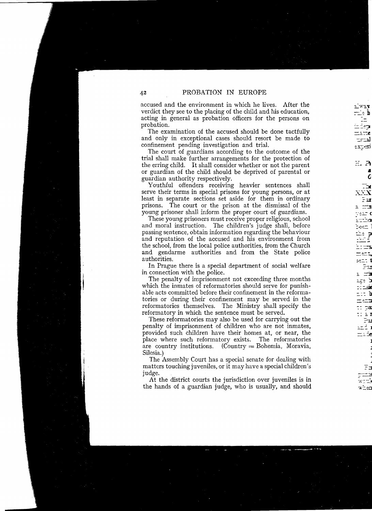accused and the environment in which he lives. After the verdict they see to the placing of the child and his education. acting in general as probation officers for the persons on probation.

The examination of the accused should be done tactfully and only in exceptional cases should resort be made to confinement pending investigation and trial.

The court of guardians according to the outcome of the trial shall make further arrangements for the protection of the erring child. It shall consider whether or not the parent or guardian of the child should be deprived of parental or guardian authority respectively.

Youthful offenders receiving heavier sentences shall serve their terms in special prisons for young persons, or at least in separate sections set aside for them in ordinary prisons. The court or the prison at the dismissal of the young prisoner shall inform the proper court of guardians.

These young prisoners must receive proper religious, school and moral instruction. The children's judge shall, before passing sentence, obtain information regarding the behaviour and reputation of the accused and his environment from the school, from the local police authorities, from the Church and gendarme authorities and from the State police authorities.

In Prague there is a special department of social welfare in connection with the police.

The penalty of imprisonment not exceeding three months which the inmates of reformatories should serve for punishable acts committed before their confinement in the reformatories or during their confinement may be served in the reformatories themselves. The Ministry shall specify the reformatory in which the sentence must be served.

These reformatories may also be used for carrying out the penalty of imprisonment of children who are not inmates, provided such children have their homes at, or near, the place where such reformatory exists. The reformatories  $\text{(Country = Bohemia, Moravia)}$ are country institutions. Silesia.)

The Assembly Court has a special senate for dealing with matters touching juveniles, or it may have a special children's judge.

At the district courts the jurisdiction over juveniles is in the hands of a guardian judge, who is usually, and should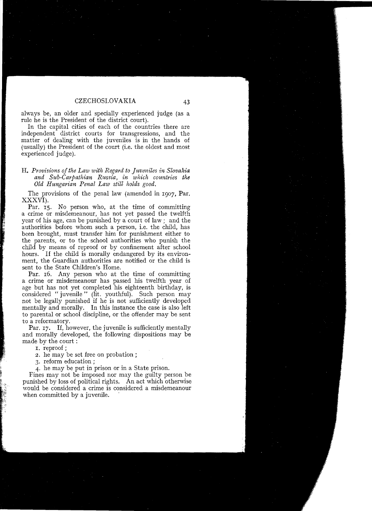always be, an older and specially experienced judge (as a mIe he is the President of the district court).

In the capital eities of each of the countries there are independent district courts for transgressions, and the matter of dealing with the juveniles is in the hands of (usually) the President of the court (i.e. the oldest and most experienced judge).

#### **H.** *Provisions ofthe Law with Regard to Juveniles in Slovakia and Sub-Carpathian Russia, in which countries the Old Hungarian Penal Law still holds good.*

The provisions of the penal law (amended in 1007, Par. XXXVI).

Par. 15. No person who, at the time of committing a crime or misdemeanour, has not yet passed the twelfth year of his age, can be punished by a court of law; and the authorities before whom such a person, i.e. the child, has been brought, must transfer him for punishment either to the parents, or to the school authorities who punish the child by means of reproof or by confinement after school hours. If the child is morally endangered by its environment, the Guardian authorities are notified or the child is sent to the State Children's Home.

Par. 16. Any person who at the time of committing a crime or misdemeanour has passed his twelfth year of age but has not yet completed his eighteenth birthday, is considered "juvenile" (lit. youthful). Such person may not be legally punished if he is not sufficiently developed mentally and morally. In this instanee the case is also left to parental or school discipline, or the oftender may be sent to a reformatory.

Par. 17. If, however, the juvenile is sufficiently mentally and morally developed, the following dispositions may be made by the court:

I. reproof ;

2. he may be set free on probation ;

3. reform education ;

4. he may be put in prison or in a State prison.

Fines may not be imposed nor may the guilty person be punished by loss of political rights. An act which otherwise would be considered a crime is considered a misdemeanour when committed by a juvenile.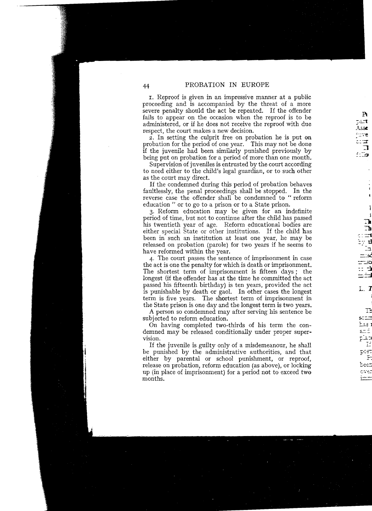I. Reproof is given in an impressive manner at a public proceeding and is accompanied by the threat of a more severe penalty should the act be repeated. If the offender fails to appear on the occasion when the reproof is to be administered, or if he does not receive the reproof with due respect, the court makes a new decision.

 $\overline{z}$ . In setting the culprit free on probation he is put on probation for the period of one year. This may not be done if the juvenile had been similarly punished previously by being put on probation for a period of more than one month.

Supervision of juveniles is entrusted by the court according to need either to the child's legal guardian, or to such other as the court may direct.

If the condemned during this period of probation behaves faultlessly, the penal proceedings shall be stopped. In the reverse case the offender shall be condemned to "reform education" or to go to a prison or to a State prison.

3. Reform education may be given for an indefinite his twentieth year of age. Reform educational bodies are either special State or other institutions. If the child has been in such an institution at least one year, he may be released on probation (parole) for two years if he seems to

have reformed within the year.<br>4. The court passes the sentence of imprisonment in case. the act is one the penalty for which is death or imprisonment. The shortest term of imprisonment is fifteen days; the longest (if the offender has at the time he committed the act passed his fifteenth birthday) is ten years, provided the act is punishable by death or gaol. In other cases the longest term is five years. The shortest term of imprisonment in the State prison is one day and the longest term is two years.

A person so condemned may after serving his sentence be subjected to reform education.

On having completed two-thirds of his term the condemned may be released conditionally under proper supervision. *F:;:'* 

vision.<br>If the juvenile is guilty only of a misdemeanour, he shall be punished by the administrative authorities, and that either by parental or school punishment, or reproof, release on probation, reform education (as above), or locking up (in place of imprisonment) for a period not to exceed two *'\_i.* "= months. **1""";**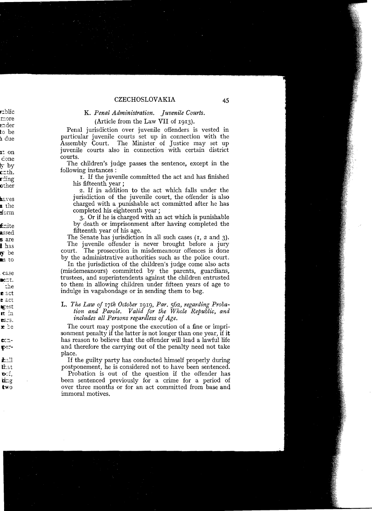# K. Penal Administration. Juvenile Courts.

(Article from the Law VII of 1913).

Penal jurisdiction over juvenile offenders is vested in particular juvenile courts set up in connection with the Assembly Court. The Minister of Justice may set up juvenile courts also in connection with certain district courts.

The children's judge passes the sentence, except in the following instances:

I. If the juvenile committed the act and has finished his fifteenth year:

2. If in addition to the act which falls under the jurisdiction of the juvenile court, the offender is also charged with a punishable act committed after he has completed his eighteenth year:

3. Or if he is charged with an act which is punishable by death or imprisonment after having completed the fifteenth year of his age.

The Senate has jurisdiction in all such cases  $(1, 2, 2, 3)$ . The juvenile offender is never brought before a jury court. The prosecution in misdemean our offences is done by the administrative authorities such as the police court.

In the jurisdiction of the children's judge come also acts (misdemeanours) committed by the parents, guardians, trustees, and superintendents against the children entrusted to them in allowing children under fifteen years of age to indulge in vagabondage or in sending them to beg.

#### L. The Law of 17th October 1919, Par. 562, regarding Probation and Parole. Valid for the Whole Republic, and includes all Persons regardless of Age.

The court may postpone the execution of a fine or imprisonment penalty if the latter is not longer than one year, if it has reason to believe that the offender will lead a lawful life and therefore the carrying out of the penalty need not take place.

If the guilty party has conducted himself properly during postponement, he is considered not to have been sentenced.

Probation is out of the question if the offender has been sentenced previously for a crime for a period of over three months or for an act committed from base and immoral motives.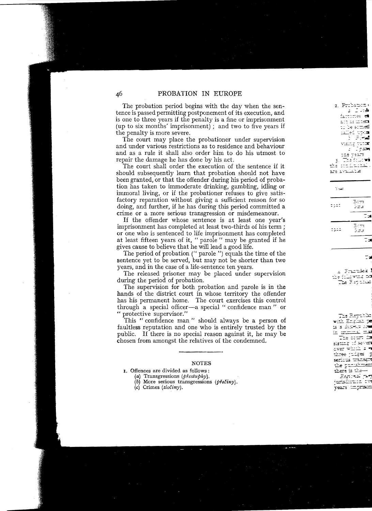The probation period begins with the day when the sentence is passed permitting postponement of its execution, and is one to three years if the penalty is a fine or imprisonment (up to six months' imprisonment); and two to five years if the penalty is more severe.

The court may place the probationer under supervision and under various restrictions as to residence and behaviour and as a rule it shall also order him to do his utmast to repair the damage he has done by his act.

The court shall order the execution of the sentence if it should subsequently learn that probation should not have been granted, or that the offender during his period of probation has taken to immoderate drinking, gambling, idling or immoral living, or if the probationer refuses to give satisfactory reparation without giving a sufficient reason for so doing, and further, if he has during this period committed a crime or a more serious transgression or misdemeanour.

If the offender whose sentence is at least one year's imprisonment has completed at least two-thirds of his term; or one who is sentenced to life imprisonment has completed at least fifteen years of it, "parole" may be granted if he gives cause to believe that he will lead a good life.

The period of probation (" parole ") equals the time of the sentence yet to be served, but may not be shorter than two years, and in the case of a life-sentence ten years.

The released prisoner may be placed under supervision during the period of probation.

The supervision for both probation and parole is in the hands of the district court in whose territory the offender has his permanent home. The court exercises this control through a special officer-a special " confidence man " or " protective supervisor."

This "confidence man" should always be a person of faultless reputation and one who is entirely trusted by the public. If there is no special reason against it, he may be chosen from amongst the relatives of the condemned.

#### NOTES

- I\_ Offences are divided as follows :
	- (a) Transgressions *(PrestuPky).*
	- (b) More serious transgressions  $(p\gamma e\gamma)$ .
	- (c) Crimes (zloéiny).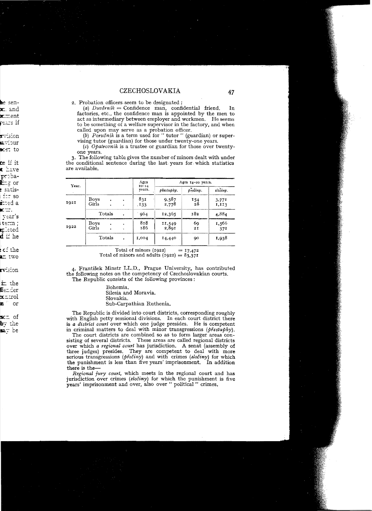2. Probation officers seem to be designated :

(a)  $Duv\check{e}rn\acute{u}k =$  Confidence man, confidential friend. In. factories, etc., the confidence man is appointed by the men to act as intermediary between employer and workmen. He seems to be something of a welfare supervisor in the factory, and when called upon may serve as a probation officer.

(b) Poručník is a term used for "tutor" (guardian) or supervising tutor (guardian) for those under twenty-one years.

(c) Opatrovnik is a trustee or guardian for those over twentyone vears.

3. The following table gives the number of minors dealt with under the conditional sentence during the last years for which statistics are available.

| Year.<br>٠ |               |  |                        | Ages                | .<br>Ages 14-20 years.                     |                  |                |  |
|------------|---------------|--|------------------------|---------------------|--------------------------------------------|------------------|----------------|--|
|            |               |  |                        | $10 - 14$<br>years. | přestupky.                                 | preciny.         | zločiny.       |  |
| 1921       | Boys<br>Girls |  | ٠<br>٠                 | 831<br>.133         | $9.587$<br>$2.778$                         | $\frac{154}{28}$ | 3,771<br>1,113 |  |
|            | Totals        |  |                        | 964                 | 12,365                                     | 182              | 4,884          |  |
| 1922       | Boys<br>Girls |  | $\bullet$<br>$\bullet$ | 818<br>186          | <b>COMMERCIA</b><br>$\frac{11,549}{2,891}$ | 69<br>2I         | 1,566<br>372   |  |
|            | Totals        |  |                        | 1,004               | 14,440                                     | 90               | 1,938          |  |

Total of minors (1922)  $= 17,472$ Total of minors and adults  $(1922) = 83.371$ 

4. František Minstr LL.D., Prague University, has contributed the following notes on the competency of Czechoslovakian courts. The Republic consists of the following provinces:

> Bohemia. Silesia and Moravia. Slovakia. Sub-Carpathian Ruthenia.

The Republic is divided into court districts, corresponding roughly with English petty sessional divisions. In each court district there is a district court over which one judge presides. He is competent in criminal matters to deal with minor transgressions ( $\phi$ *řestubky*).

The court districts are combined so as to form larger areas consisting of several districts. These areas are called regional districts over which a regional court has jurisdiction. A senat (assembly of three judges) presides. They are competent to deal with more serious transgressions (přečiny) and with crimes (zločiny) for which the punishment is less than five years' imprisonment. In addition there is the-

Regional jury court, which meets in the regional court and has jurisdiction over crimes (*zločiny*) for which the punishment is five vears' imprisonment and over, also over " political " crimes,